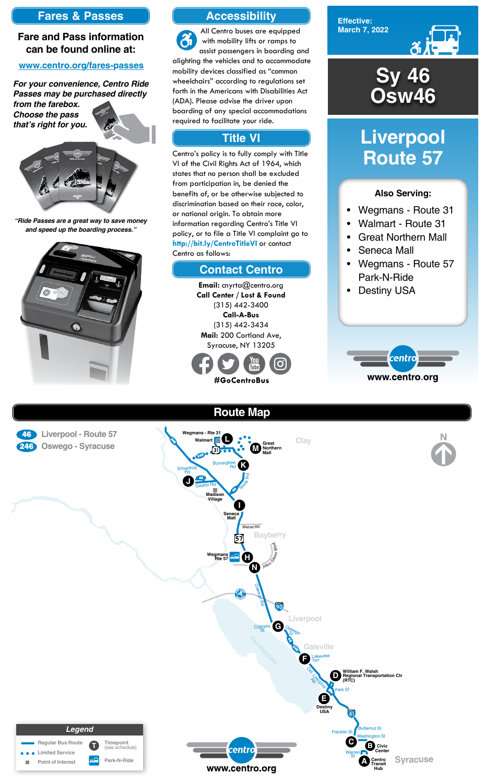**Effective: March 7, 2022**



#### **Also Serving:**

- Wegmans Route 31
- Walmart Route 31
- Great Northern Mall
- Seneca Mall
- Wegmans Route 57 Park-N-Ride
- Destiny USA



# **Liverpool Route 57**

### **Accessibility**

### **Contact Centro**

### **Title VI**

All Centro buses are equipped  $\mathbf{\hat{a}}$ with mobility lifts or ramps to assist passengers in boarding and alighting the vehicles and to accommodate mobility devices classified as "common wheelchairs" according to regulations set forth in the Americans with Disabilities Act (ADA). Please advise the driver upon boarding of any special accommodations required to facilitate your ride.

> **Email:** cnyrta@centro.org **Call Center / Lost & Found** (315) 442-3400 **Call-A-Bus** (315) 442-3434 **Mail:** 200 Cortland Ave, Syracuse, NY 13205



Centro's policy is to fully comply with Title VI of the Civil Rights Act of 1964, which states that no person shall be excluded from participation in, be denied the benefits of, or be otherwise subjected to discrimination based on their race, color, or national origin. To obtain more information regarding Centro's Title VI policy, or to file a Title VI complaint go to **http://bit.ly/CentroTitleVI** or contact Centro as follows:

## **Fares & Passes**

### **Fare and Pass information can be found online at:**

#### **www.centro.org/fares-passes**

*"Ride Passes are a great way to save money and speed up the boarding process."*



*For your convenience, Centro Ride Passes may be purchased directly* 

*from the farebox. Choose the pass that's right for you.*





# **Sy 46 Osw46**